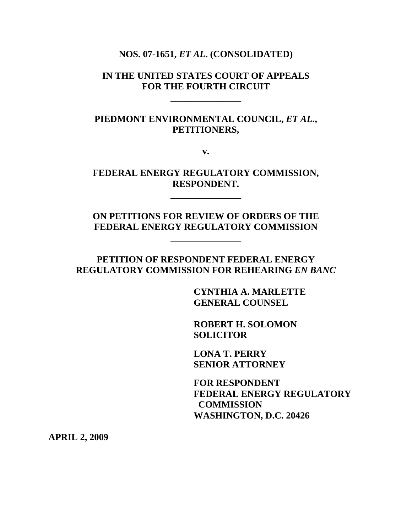#### **NOS. 07-1651,** *ET AL***. (CONSOLIDATED)**

### **IN THE UNITED STATES COURT OF APPEALS FOR THE FOURTH CIRCUIT**

 **\_\_\_\_\_\_\_\_\_\_\_\_\_\_\_** 

 **\_\_\_\_\_\_\_\_\_\_\_\_\_\_\_** 

 **\_\_\_\_\_\_\_\_\_\_\_\_\_\_\_** 

# **PIEDMONT ENVIRONMENTAL COUNCIL,** *ET AL***., PETITIONERS,**

**v.** 

### **FEDERAL ENERGY REGULATORY COMMISSION, RESPONDENT.**

# **ON PETITIONS FOR REVIEW OF ORDERS OF THE FEDERAL ENERGY REGULATORY COMMISSION**

## **PETITION OF RESPONDENT FEDERAL ENERGY REGULATORY COMMISSION FOR REHEARING** *EN BANC*

 **CYNTHIA A. MARLETTE GENERAL COUNSEL** 

 **ROBERT H. SOLOMON SOLICITOR** 

 **LONA T. PERRY SENIOR ATTORNEY** 

 **FOR RESPONDENT FEDERAL ENERGY REGULATORY COMMISSION WASHINGTON, D.C. 20426** 

**APRIL 2, 2009**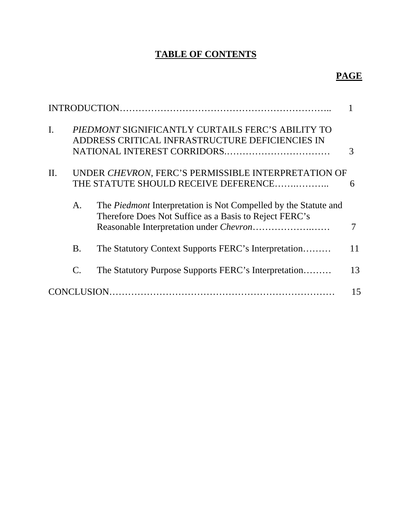# **TABLE OF CONTENTS**

# **PAGE**

|                |           | <b>INTRODUCTION.</b>                                                                                                             |    |
|----------------|-----------|----------------------------------------------------------------------------------------------------------------------------------|----|
| $\mathbf{I}$ . |           | PIEDMONT SIGNIFICANTLY CURTAILS FERC'S ABILITY TO<br>ADDRESS CRITICAL INFRASTRUCTURE DEFICIENCIES IN                             |    |
| $\Pi$ .        |           | UNDER CHEVRON, FERC'S PERMISSIBLE INTERPRETATION OF<br>THE STATUTE SHOULD RECEIVE DEFERENCE                                      | 6  |
|                | A.        | The <i>Piedmont</i> Interpretation is Not Compelled by the Statute and<br>Therefore Does Not Suffice as a Basis to Reject FERC's |    |
|                | <b>B.</b> | The Statutory Context Supports FERC's Interpretation                                                                             | 11 |
|                | C.        | The Statutory Purpose Supports FERC's Interpretation                                                                             | 13 |
|                |           |                                                                                                                                  | 15 |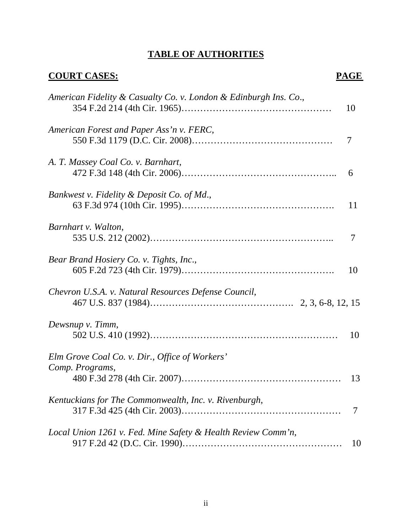# **TABLE OF AUTHORITIES**

| <b>COURT CASES:</b>                                               | PAGE |
|-------------------------------------------------------------------|------|
| American Fidelity & Casualty Co. v. London & Edinburgh Ins. Co.,  | 10   |
| American Forest and Paper Ass'n v. FERC,                          | 7    |
| A. T. Massey Coal Co. v. Barnhart,                                | 6    |
| Bankwest v. Fidelity & Deposit Co. of Md.,                        | 11   |
| Barnhart v. Walton,                                               | 7    |
| Bear Brand Hosiery Co. v. Tights, Inc.,                           | 10   |
| Chevron U.S.A. v. Natural Resources Defense Council,              |      |
| Dewsnup v. Timm,                                                  | 10   |
| Elm Grove Coal Co. v. Dir., Office of Workers'<br>Comp. Programs, | 13   |
| Kentuckians for The Commonwealth, Inc. v. Rivenburgh,             | 7    |
| Local Union 1261 v. Fed. Mine Safety & Health Review Comm'n,      | 10   |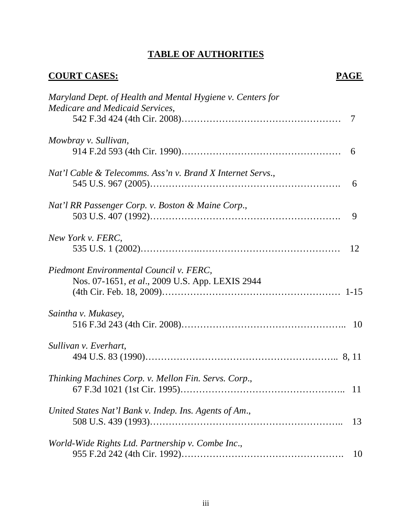# **TABLE OF AUTHORITIES**

| <b>COURT CASES:</b>                                                                           | PAGE |
|-----------------------------------------------------------------------------------------------|------|
| Maryland Dept. of Health and Mental Hygiene v. Centers for<br>Medicare and Medicaid Services, |      |
|                                                                                               | 7    |
| Mowbray v. Sullivan,                                                                          | 6    |
| Nat'l Cable & Telecomms. Ass'n v. Brand X Internet Servs.,                                    | 6    |
| Nat'l RR Passenger Corp. v. Boston & Maine Corp.,                                             | 9    |
| New York v. FERC,                                                                             | 12   |
| Piedmont Environmental Council v. FERC,<br>Nos. 07-1651, et al., 2009 U.S. App. LEXIS 2944    |      |
| Saintha v. Mukasey,                                                                           |      |
| Sullivan v. Everhart,                                                                         |      |
| Thinking Machines Corp. v. Mellon Fin. Servs. Corp.,                                          | 11   |
| United States Nat'l Bank v. Indep. Ins. Agents of Am.,                                        | 13   |
| World-Wide Rights Ltd. Partnership v. Combe Inc.,                                             | 10   |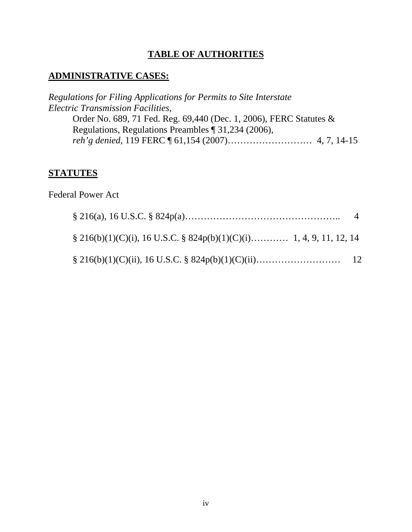# **TABLE OF AUTHORITIES**

# **ADMINISTRATIVE CASES:**

*Regulations for Filing Applications for Permits to Site Interstate Electric Transmission Facilities*, Order No. 689, 71 Fed. Reg. 69,440 (Dec. 1, 2006), FERC Statutes & Regulations, Regulations Preambles ¶ 31,234 (2006), *reh'g denied*, 119 FERC ¶ 61,154 (2007)……………………… 4, 7, 14-15

# **STATUTES**

Federal Power Act

|                                                                           | $\overline{4}$ |
|---------------------------------------------------------------------------|----------------|
| $\S$ 216(b)(1)(C)(i), 16 U.S.C. $\S$ 824p(b)(1)(C)(i) 1, 4, 9, 11, 12, 14 |                |
|                                                                           |                |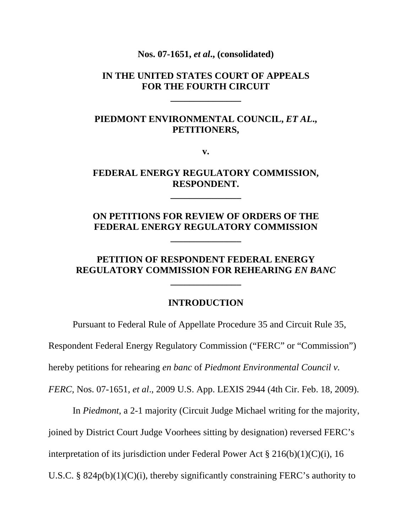**Nos. 07-1651,** *et al***., (consolidated)** 

### **IN THE UNITED STATES COURT OF APPEALS FOR THE FOURTH CIRCUIT**

**\_\_\_\_\_\_\_\_\_\_\_\_\_\_\_** 

## **PIEDMONT ENVIRONMENTAL COUNCIL,** *ET AL***., PETITIONERS,**

**v.** 

### **FEDERAL ENERGY REGULATORY COMMISSION, RESPONDENT.**

**\_\_\_\_\_\_\_\_\_\_\_\_\_\_\_** 

# **ON PETITIONS FOR REVIEW OF ORDERS OF THE FEDERAL ENERGY REGULATORY COMMISSION**

**\_\_\_\_\_\_\_\_\_\_\_\_\_\_\_** 

### **PETITION OF RESPONDENT FEDERAL ENERGY REGULATORY COMMISSION FOR REHEARING** *EN BANC*

**\_\_\_\_\_\_\_\_\_\_\_\_\_\_\_** 

#### **INTRODUCTION**

Pursuant to Federal Rule of Appellate Procedure 35 and Circuit Rule 35,

Respondent Federal Energy Regulatory Commission ("FERC" or "Commission")

hereby petitions for rehearing *en banc* of *Piedmont Environmental Council v.* 

*FERC,* Nos. 07-1651, *et al*., 2009 U.S. App. LEXIS 2944 (4th Cir. Feb. 18, 2009).

In *Piedmont*, a 2-1 majority (Circuit Judge Michael writing for the majority,

joined by District Court Judge Voorhees sitting by designation) reversed FERC's

interpretation of its jurisdiction under Federal Power Act  $\S 216(b)(1)(C)(i)$ , 16

U.S.C. §  $824p(b)(1)(C)(i)$ , thereby significantly constraining FERC's authority to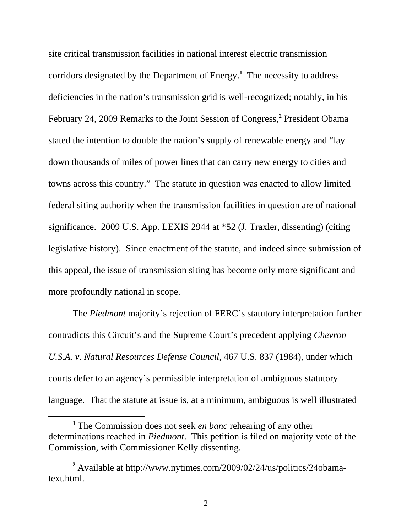site critical transmission facilities in national interest electric transmission corridors designated by the Department of Energy.**<sup>1</sup>** The necessity to address deficiencies in the nation's transmission grid is well-recognized; notably, in his February 24, 2009 Remarks to the Joint Session of Congress,<sup>2</sup> President Obama stated the intention to double the nation's supply of renewable energy and "lay down thousands of miles of power lines that can carry new energy to cities and towns across this country." The statute in question was enacted to allow limited federal siting authority when the transmission facilities in question are of national significance. 2009 U.S. App. LEXIS 2944 at \*52 (J. Traxler, dissenting) (citing legislative history). Since enactment of the statute, and indeed since submission of this appeal, the issue of transmission siting has become only more significant and more profoundly national in scope.

The *Piedmont* majority's rejection of FERC's statutory interpretation further contradicts this Circuit's and the Supreme Court's precedent applying *Chevron U.S.A. v. Natural Resources Defense Council*, 467 U.S. 837 (1984), under which courts defer to an agency's permissible interpretation of ambiguous statutory language. That the statute at issue is, at a minimum, ambiguous is well illustrated

 $\overline{a}$ 

**<sup>1</sup>** The Commission does not seek *en banc* rehearing of any other determinations reached in *Piedmont*. This petition is filed on majority vote of the Commission, with Commissioner Kelly dissenting.

**<sup>2</sup>** Available at http://www.nytimes.com/2009/02/24/us/politics/24obamatext.html.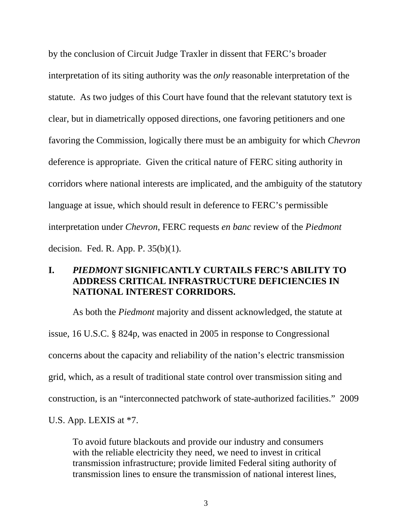by the conclusion of Circuit Judge Traxler in dissent that FERC's broader interpretation of its siting authority was the *only* reasonable interpretation of the statute. As two judges of this Court have found that the relevant statutory text is clear, but in diametrically opposed directions, one favoring petitioners and one favoring the Commission, logically there must be an ambiguity for which *Chevron* deference is appropriate. Given the critical nature of FERC siting authority in corridors where national interests are implicated, and the ambiguity of the statutory language at issue, which should result in deference to FERC's permissible interpretation under *Chevron*, FERC requests *en banc* review of the *Piedmont* decision. Fed. R. App. P. 35(b)(1).

# **I.** *PIEDMONT* **SIGNIFICANTLY CURTAILS FERC'S ABILITY TO ADDRESS CRITICAL INFRASTRUCTURE DEFICIENCIES IN NATIONAL INTEREST CORRIDORS.**

As both the *Piedmont* majority and dissent acknowledged, the statute at issue, 16 U.S.C. § 824p, was enacted in 2005 in response to Congressional concerns about the capacity and reliability of the nation's electric transmission grid, which, as a result of traditional state control over transmission siting and construction, is an "interconnected patchwork of state-authorized facilities." 2009

U.S. App. LEXIS at \*7.

To avoid future blackouts and provide our industry and consumers with the reliable electricity they need, we need to invest in critical transmission infrastructure; provide limited Federal siting authority of transmission lines to ensure the transmission of national interest lines,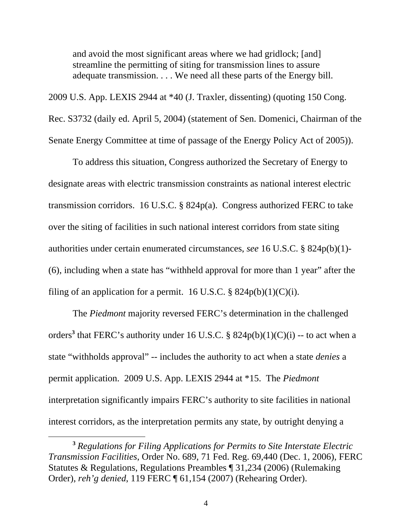and avoid the most significant areas where we had gridlock; [and] streamline the permitting of siting for transmission lines to assure adequate transmission. . . . We need all these parts of the Energy bill.

2009 U.S. App. LEXIS 2944 at \*40 (J. Traxler, dissenting) (quoting 150 Cong. Rec. S3732 (daily ed. April 5, 2004) (statement of Sen. Domenici, Chairman of the Senate Energy Committee at time of passage of the Energy Policy Act of 2005)).

To address this situation, Congress authorized the Secretary of Energy to designate areas with electric transmission constraints as national interest electric transmission corridors. 16 U.S.C. § 824p(a). Congress authorized FERC to take over the siting of facilities in such national interest corridors from state siting authorities under certain enumerated circumstances, *see* 16 U.S.C. § 824p(b)(1)- (6), including when a state has "withheld approval for more than 1 year" after the filing of an application for a permit. 16 U.S.C.  $\S$  824p(b)(1)(C)(i).

The *Piedmont* majority reversed FERC's determination in the challenged orders<sup>3</sup> that FERC's authority under 16 U.S.C. §  $824p(b)(1)(C)(i)$  -- to act when a state "withholds approval" -- includes the authority to act when a state *denies* a permit application. 2009 U.S. App. LEXIS 2944 at \*15. The *Piedmont* interpretation significantly impairs FERC's authority to site facilities in national interest corridors, as the interpretation permits any state, by outright denying a

 $\overline{a}$ 

**<sup>3</sup>** *Regulations for Filing Applications for Permits to Site Interstate Electric Transmission Facilities*, Order No. 689, 71 Fed. Reg. 69,440 (Dec. 1, 2006), FERC Statutes & Regulations, Regulations Preambles ¶ 31,234 (2006) (Rulemaking Order), *reh'g denied*, 119 FERC ¶ 61,154 (2007) (Rehearing Order).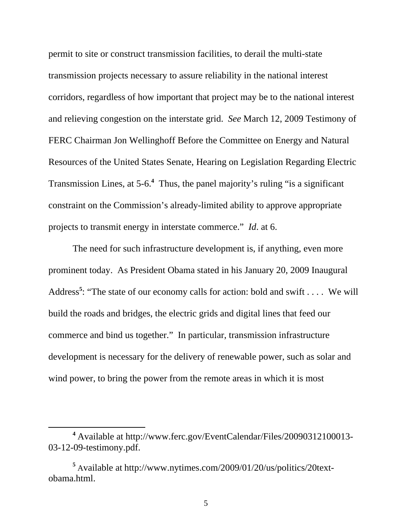permit to site or construct transmission facilities, to derail the multi-state transmission projects necessary to assure reliability in the national interest corridors, regardless of how important that project may be to the national interest and relieving congestion on the interstate grid. *See* March 12, 2009 Testimony of FERC Chairman Jon Wellinghoff Before the Committee on Energy and Natural Resources of the United States Senate, Hearing on Legislation Regarding Electric Transmission Lines, at 5-6.<sup>4</sup> Thus, the panel majority's ruling "is a significant constraint on the Commission's already-limited ability to approve appropriate projects to transmit energy in interstate commerce." *Id*. at 6.

The need for such infrastructure development is, if anything, even more prominent today. As President Obama stated in his January 20, 2009 Inaugural Address<sup>5</sup>: "The state of our economy calls for action: bold and swift . . . . We will build the roads and bridges, the electric grids and digital lines that feed our commerce and bind us together." In particular, transmission infrastructure development is necessary for the delivery of renewable power, such as solar and wind power, to bring the power from the remote areas in which it is most

 $\overline{a}$ 

**<sup>4</sup>** Available at http://www.ferc.gov/EventCalendar/Files/20090312100013- 03-12-09-testimony.pdf.

**<sup>5</sup>** Available at http://www.nytimes.com/2009/01/20/us/politics/20textobama.html.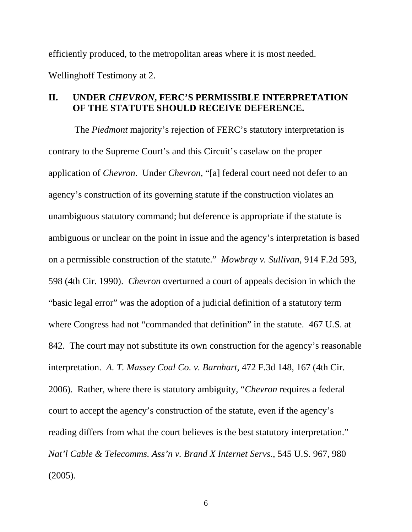efficiently produced, to the metropolitan areas where it is most needed. Wellinghoff Testimony at 2.

## **II. UNDER** *CHEVRON***, FERC'S PERMISSIBLE INTERPRETATION OF THE STATUTE SHOULD RECEIVE DEFERENCE.**

 The *Piedmont* majority's rejection of FERC's statutory interpretation is contrary to the Supreme Court's and this Circuit's caselaw on the proper application of *Chevron*. Under *Chevron*, "[a] federal court need not defer to an agency's construction of its governing statute if the construction violates an unambiguous statutory command; but deference is appropriate if the statute is ambiguous or unclear on the point in issue and the agency's interpretation is based on a permissible construction of the statute." *Mowbray v. Sullivan*, 914 F.2d 593, 598 (4th Cir. 1990). *Chevron* overturned a court of appeals decision in which the "basic legal error" was the adoption of a judicial definition of a statutory term where Congress had not "commanded that definition" in the statute. 467 U.S. at 842. The court may not substitute its own construction for the agency's reasonable interpretation. *A. T. Massey Coal Co. v. Barnhart*, 472 F.3d 148, 167 (4th Cir. 2006). Rather, where there is statutory ambiguity, "*Chevron* requires a federal court to accept the agency's construction of the statute, even if the agency's reading differs from what the court believes is the best statutory interpretation." *Nat'l Cable & Telecomms. Ass'n v. Brand X Internet Servs*., 545 U.S. 967, 980 (2005).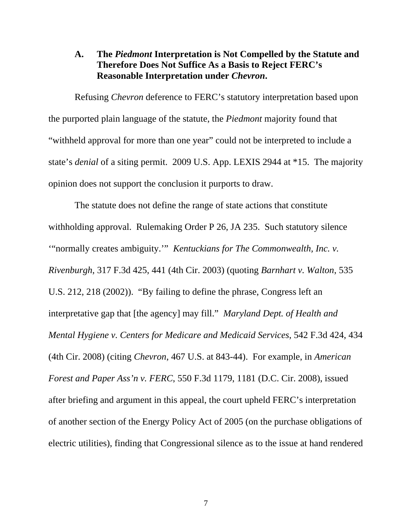## **A. The** *Piedmont* **Interpretation is Not Compelled by the Statute and Therefore Does Not Suffice As a Basis to Reject FERC's Reasonable Interpretation under** *Chevron***.**

 Refusing *Chevron* deference to FERC's statutory interpretation based upon the purported plain language of the statute, the *Piedmont* majority found that "withheld approval for more than one year" could not be interpreted to include a state's *denial* of a siting permit. 2009 U.S. App. LEXIS 2944 at \*15. The majority opinion does not support the conclusion it purports to draw.

 The statute does not define the range of state actions that constitute withholding approval. Rulemaking Order P 26, JA 235. Such statutory silence '"normally creates ambiguity.'" *Kentuckians for The Commonwealth, Inc. v. Rivenburgh*, 317 F.3d 425, 441 (4th Cir. 2003) (quoting *Barnhart v. Walton*, 535 U.S. 212, 218 (2002)). "By failing to define the phrase, Congress left an interpretative gap that [the agency] may fill." *Maryland Dept. of Health and Mental Hygiene v. Centers for Medicare and Medicaid Services*, 542 F.3d 424, 434 (4th Cir. 2008) (citing *Chevron*, 467 U.S. at 843-44). For example, in *American Forest and Paper Ass'n v. FERC*, 550 F.3d 1179, 1181 (D.C. Cir. 2008), issued after briefing and argument in this appeal, the court upheld FERC's interpretation of another section of the Energy Policy Act of 2005 (on the purchase obligations of electric utilities), finding that Congressional silence as to the issue at hand rendered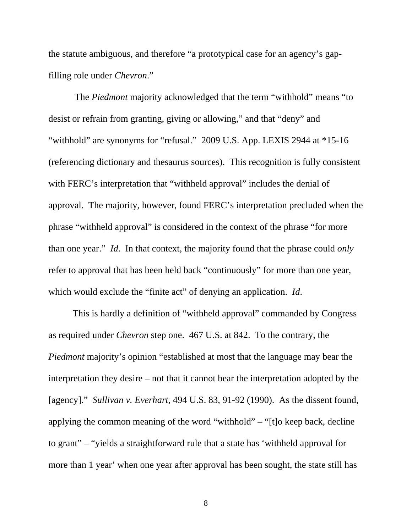the statute ambiguous, and therefore "a prototypical case for an agency's gapfilling role under *Chevron*."

 The *Piedmont* majority acknowledged that the term "withhold" means "to desist or refrain from granting, giving or allowing," and that "deny" and "withhold" are synonyms for "refusal." 2009 U.S. App. LEXIS 2944 at \*15-16 (referencing dictionary and thesaurus sources). This recognition is fully consistent with FERC's interpretation that "withheld approval" includes the denial of approval. The majority, however, found FERC's interpretation precluded when the phrase "withheld approval" is considered in the context of the phrase "for more than one year." *Id*. In that context, the majority found that the phrase could *only* refer to approval that has been held back "continuously" for more than one year, which would exclude the "finite act" of denying an application. *Id*.

This is hardly a definition of "withheld approval" commanded by Congress as required under *Chevron* step one. 467 U.S. at 842. To the contrary, the *Piedmont* majority's opinion "established at most that the language may bear the interpretation they desire – not that it cannot bear the interpretation adopted by the [agency]." *Sullivan v. Everhart*, 494 U.S. 83, 91-92 (1990). As the dissent found, applying the common meaning of the word "withhold" – "[t]o keep back, decline to grant" – "yields a straightforward rule that a state has 'withheld approval for more than 1 year' when one year after approval has been sought, the state still has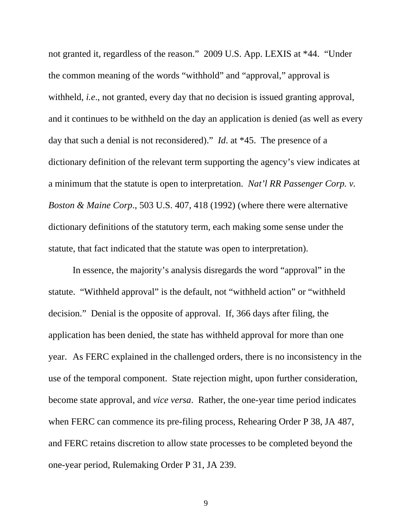not granted it, regardless of the reason." 2009 U.S. App. LEXIS at \*44. "Under the common meaning of the words "withhold" and "approval," approval is withheld, *i.e*., not granted, every day that no decision is issued granting approval, and it continues to be withheld on the day an application is denied (as well as every day that such a denial is not reconsidered)." *Id*. at \*45. The presence of a dictionary definition of the relevant term supporting the agency's view indicates at a minimum that the statute is open to interpretation. *Nat'l RR Passenger Corp. v. Boston & Maine Corp*., 503 U.S. 407, 418 (1992) (where there were alternative dictionary definitions of the statutory term, each making some sense under the statute, that fact indicated that the statute was open to interpretation).

In essence, the majority's analysis disregards the word "approval" in the statute. "Withheld approval" is the default, not "withheld action" or "withheld decision." Denial is the opposite of approval. If, 366 days after filing, the application has been denied, the state has withheld approval for more than one year. As FERC explained in the challenged orders, there is no inconsistency in the use of the temporal component. State rejection might, upon further consideration, become state approval, and *vice versa*. Rather, the one-year time period indicates when FERC can commence its pre-filing process, Rehearing Order P 38, JA 487, and FERC retains discretion to allow state processes to be completed beyond the one-year period, Rulemaking Order P 31, JA 239.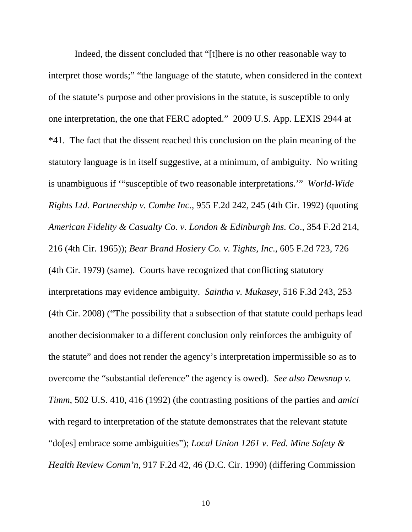Indeed, the dissent concluded that "[t]here is no other reasonable way to interpret those words;" "the language of the statute, when considered in the context of the statute's purpose and other provisions in the statute, is susceptible to only one interpretation, the one that FERC adopted." 2009 U.S. App. LEXIS 2944 at \*41. The fact that the dissent reached this conclusion on the plain meaning of the statutory language is in itself suggestive, at a minimum, of ambiguity. No writing is unambiguous if '"susceptible of two reasonable interpretations.'" *World-Wide Rights Ltd. Partnership v. Combe Inc*., 955 F.2d 242, 245 (4th Cir. 1992) (quoting *American Fidelity & Casualty Co. v. London & Edinburgh Ins. Co*., 354 F.2d 214, 216 (4th Cir. 1965)); *Bear Brand Hosiery Co. v. Tights, Inc*., 605 F.2d 723, 726 (4th Cir. 1979) (same). Courts have recognized that conflicting statutory interpretations may evidence ambiguity. *Saintha v. Mukasey*, 516 F.3d 243, 253 (4th Cir. 2008) ("The possibility that a subsection of that statute could perhaps lead another decisionmaker to a different conclusion only reinforces the ambiguity of the statute" and does not render the agency's interpretation impermissible so as to overcome the "substantial deference" the agency is owed). *See also Dewsnup v. Timm*, 502 U.S. 410, 416 (1992) (the contrasting positions of the parties and *amici* with regard to interpretation of the statute demonstrates that the relevant statute "do[es] embrace some ambiguities"); *Local Union 1261 v. Fed. Mine Safety & Health Review Comm'n*, 917 F.2d 42, 46 (D.C. Cir. 1990) (differing Commission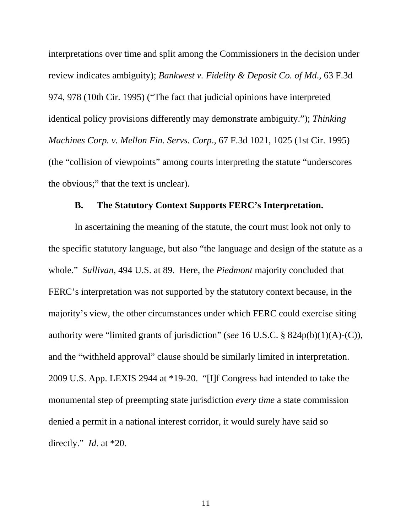interpretations over time and split among the Commissioners in the decision under review indicates ambiguity); *Bankwest v. Fidelity & Deposit Co. of Md*., 63 F.3d 974, 978 (10th Cir. 1995) ("The fact that judicial opinions have interpreted identical policy provisions differently may demonstrate ambiguity."); *Thinking Machines Corp. v. Mellon Fin. Servs. Corp*., 67 F.3d 1021, 1025 (1st Cir. 1995) (the "collision of viewpoints" among courts interpreting the statute "underscores the obvious;" that the text is unclear).

### **B. The Statutory Context Supports FERC's Interpretation.**

 In ascertaining the meaning of the statute, the court must look not only to the specific statutory language, but also "the language and design of the statute as a whole." *Sullivan*, 494 U.S. at 89. Here, the *Piedmont* majority concluded that FERC's interpretation was not supported by the statutory context because, in the majority's view, the other circumstances under which FERC could exercise siting authority were "limited grants of jurisdiction" (*see* 16 U.S.C. § 824p(b)(1)(A)-(C)), and the "withheld approval" clause should be similarly limited in interpretation. 2009 U.S. App. LEXIS 2944 at \*19-20. "[I]f Congress had intended to take the monumental step of preempting state jurisdiction *every time* a state commission denied a permit in a national interest corridor, it would surely have said so directly." *Id*. at \*20.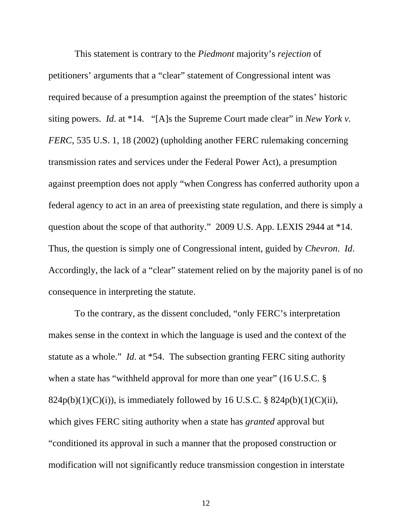This statement is contrary to the *Piedmont* majority's *rejection* of petitioners' arguments that a "clear" statement of Congressional intent was required because of a presumption against the preemption of the states' historic siting powers. *Id*. at \*14. "[A]s the Supreme Court made clear" in *New York v. FERC*, 535 U.S. 1, 18 (2002) (upholding another FERC rulemaking concerning transmission rates and services under the Federal Power Act), a presumption against preemption does not apply "when Congress has conferred authority upon a federal agency to act in an area of preexisting state regulation, and there is simply a question about the scope of that authority." 2009 U.S. App. LEXIS 2944 at \*14. Thus, the question is simply one of Congressional intent, guided by *Chevron*. *Id*. Accordingly, the lack of a "clear" statement relied on by the majority panel is of no consequence in interpreting the statute.

 To the contrary, as the dissent concluded, "only FERC's interpretation makes sense in the context in which the language is used and the context of the statute as a whole." *Id*. at \*54. The subsection granting FERC siting authority when a state has "withheld approval for more than one year" (16 U.S.C. § 824p(b)(1)(C)(i)), is immediately followed by 16 U.S.C. § 824p(b)(1)(C)(ii), which gives FERC siting authority when a state has *granted* approval but "conditioned its approval in such a manner that the proposed construction or modification will not significantly reduce transmission congestion in interstate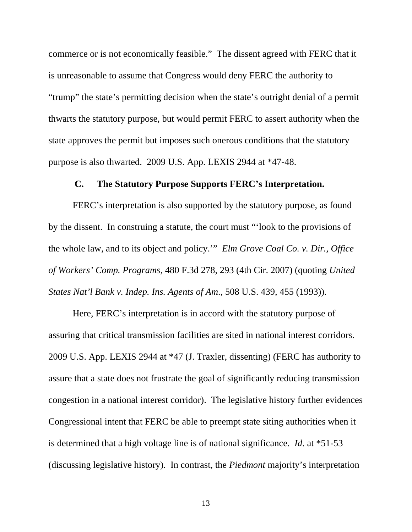commerce or is not economically feasible." The dissent agreed with FERC that it is unreasonable to assume that Congress would deny FERC the authority to "trump" the state's permitting decision when the state's outright denial of a permit thwarts the statutory purpose, but would permit FERC to assert authority when the state approves the permit but imposes such onerous conditions that the statutory purpose is also thwarted. 2009 U.S. App. LEXIS 2944 at \*47-48.

#### **C. The Statutory Purpose Supports FERC's Interpretation.**

FERC's interpretation is also supported by the statutory purpose, as found by the dissent. In construing a statute, the court must "'look to the provisions of the whole law, and to its object and policy.'" *Elm Grove Coal Co. v. Dir., Office of Workers' Comp. Programs*, 480 F.3d 278, 293 (4th Cir. 2007) (quoting *United States Nat'l Bank v. Indep. Ins. Agents of Am*., 508 U.S. 439, 455 (1993)).

Here, FERC's interpretation is in accord with the statutory purpose of assuring that critical transmission facilities are sited in national interest corridors. 2009 U.S. App. LEXIS 2944 at \*47 (J. Traxler, dissenting) (FERC has authority to assure that a state does not frustrate the goal of significantly reducing transmission congestion in a national interest corridor). The legislative history further evidences Congressional intent that FERC be able to preempt state siting authorities when it is determined that a high voltage line is of national significance. *Id*. at \*51-53 (discussing legislative history). In contrast, the *Piedmont* majority's interpretation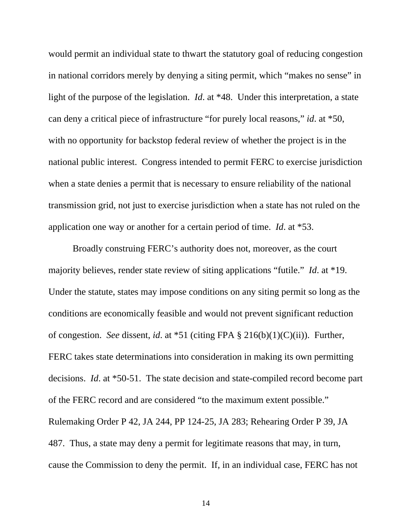would permit an individual state to thwart the statutory goal of reducing congestion in national corridors merely by denying a siting permit, which "makes no sense" in light of the purpose of the legislation. *Id*. at \*48. Under this interpretation, a state can deny a critical piece of infrastructure "for purely local reasons," *id*. at \*50, with no opportunity for backstop federal review of whether the project is in the national public interest. Congress intended to permit FERC to exercise jurisdiction when a state denies a permit that is necessary to ensure reliability of the national transmission grid, not just to exercise jurisdiction when a state has not ruled on the application one way or another for a certain period of time. *Id*. at \*53.

Broadly construing FERC's authority does not, moreover, as the court majority believes, render state review of siting applications "futile." *Id*. at \*19. Under the statute, states may impose conditions on any siting permit so long as the conditions are economically feasible and would not prevent significant reduction of congestion. *See* dissent, *id*. at \*51 (citing FPA § 216(b)(1)(C)(ii)). Further, FERC takes state determinations into consideration in making its own permitting decisions. *Id*. at \*50-51. The state decision and state-compiled record become part of the FERC record and are considered "to the maximum extent possible." Rulemaking Order P 42, JA 244, PP 124-25, JA 283; Rehearing Order P 39, JA 487. Thus, a state may deny a permit for legitimate reasons that may, in turn, cause the Commission to deny the permit. If, in an individual case, FERC has not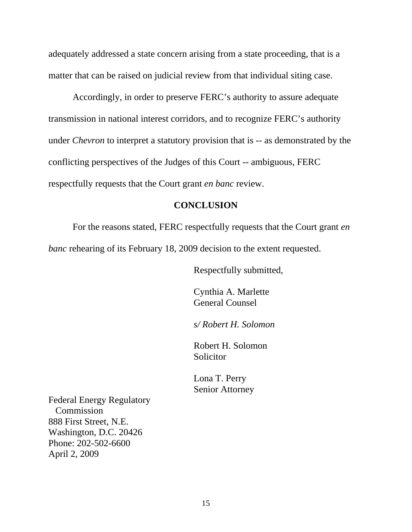adequately addressed a state concern arising from a state proceeding, that is a matter that can be raised on judicial review from that individual siting case.

Accordingly, in order to preserve FERC's authority to assure adequate transmission in national interest corridors, and to recognize FERC's authority under *Chevron* to interpret a statutory provision that is -- as demonstrated by the conflicting perspectives of the Judges of this Court -- ambiguous, FERC respectfully requests that the Court grant *en banc* review.

#### **CONCLUSION**

 For the reasons stated, FERC respectfully requests that the Court grant *en banc* rehearing of its February 18, 2009 decision to the extent requested.

Respectfully submitted,

 Cynthia A. Marlette General Counsel

*s/ Robert H. Solomon* 

Robert H. Solomon **Solicitor** 

 Lona T. Perry Senior Attorney

Federal Energy Regulatory Commission 888 First Street, N.E. Washington, D.C. 20426 Phone: 202-502-6600 April 2, 2009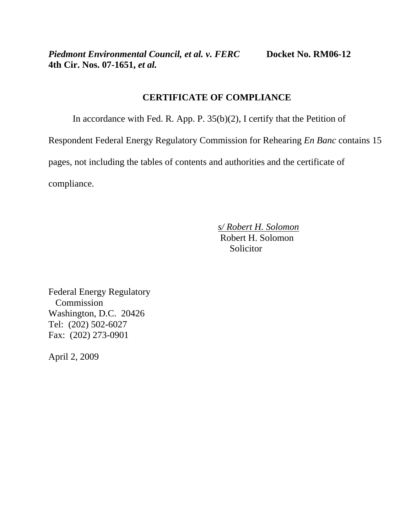*Piedmont Environmental Council, et al. v. FERC* Docket No. RM06-12 **4th Cir. Nos. 07-1651,** *et al.* 

# **CERTIFICATE OF COMPLIANCE**

In accordance with Fed. R. App. P. 35(b)(2), I certify that the Petition of

Respondent Federal Energy Regulatory Commission for Rehearing *En Banc* contains 15

pages, not including the tables of contents and authorities and the certificate of

compliance.

 *s/ Robert H. Solomon* Robert H. Solomon Solicitor

Federal Energy Regulatory Commission Washington, D.C. 20426 Tel: (202) 502-6027 Fax: (202) 273-0901

April 2, 2009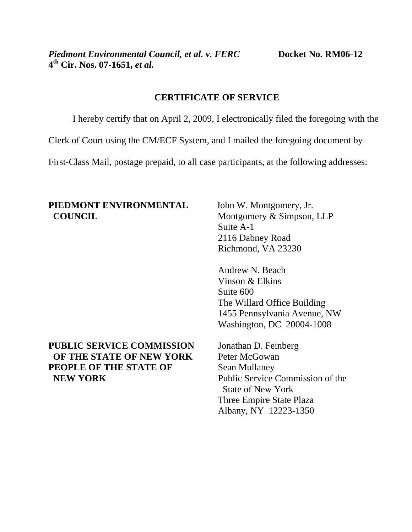# **CERTIFICATE OF SERVICE**

I hereby certify that on April 2, 2009, I electronically filed the foregoing with the

Clerk of Court using the CM/ECF System, and I mailed the foregoing document by

First-Class Mail, postage prepaid, to all case participants, at the following addresses:

# **PIEDMONT ENVIRONMENTAL** John W. Montgomery, Jr. **COUNCIL** Montgomery & Simpson, LLP

# **PUBLIC SERVICE COMMISSION** Jonathan D. Feinberg **OF THE STATE OF NEW YORK** Peter McGowan **PEOPLE OF THE STATE OF Sean Mullaney NEW YORK** Public Service Commission of the

 Suite A-1 2116 Dabney Road Richmond, VA 23230

 Andrew N. Beach Vinson & Elkins Suite 600 The Willard Office Building 1455 Pennsylvania Avenue, NW Washington, DC 20004-1008

 State of New York Three Empire State Plaza Albany, NY 12223-1350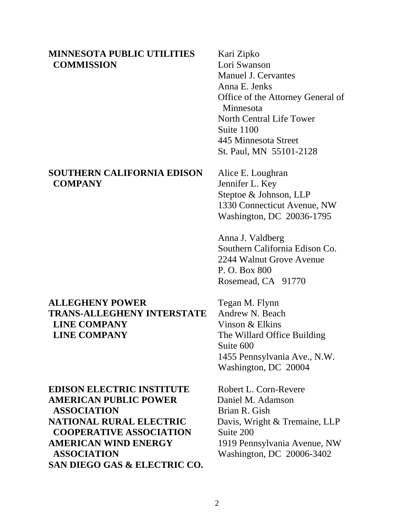### **MINNESOTA PUBLIC UTILITIES** Kari Zipko **COMMISSION** Lori Swanson

### **SOUTHERN CALIFORNIA EDISON** Alice E. Loughran  **COMPANY** Jennifer L. Key

# **ALLEGHENY POWER** Tegan M. Flynn **TRANS-ALLEGHENY INTERSTATE** Andrew N. Beach **LINE COMPANY** Vinson & Elkins **LINE COMPANY** The Willard Office Building

**EDISON ELECTRIC INSTITUTE** Robert L. Corn-Revere **AMERICAN PUBLIC POWER** Daniel M. Adamson **ASSOCIATION** Brian R. Gish **NATIONAL RURAL ELECTRIC** Davis, Wright & Tremaine, LLP **COOPERATIVE ASSOCIATION** Suite 200 **AMERICAN WIND ENERGY** 1919 Pennsylvania Avenue, NW  **ASSOCIATION** Washington, DC 20006-3402 **SAN DIEGO GAS & ELECTRIC CO.** 

Manuel J. Cervantes Anna E. Jenks Office of the Attorney General of Minnesota North Central Life Tower Suite 1100 445 Minnesota Street St. Paul, MN 55101-2128

 Steptoe & Johnson, LLP 1330 Connecticut Avenue, NW Washington, DC 20036-1795

Anna J. Valdberg Southern California Edison Co. 2244 Walnut Grove Avenue P. O. Box 800 Rosemead, CA 91770

 Suite 600 1455 Pennsylvania Ave., N.W. Washington, DC 20004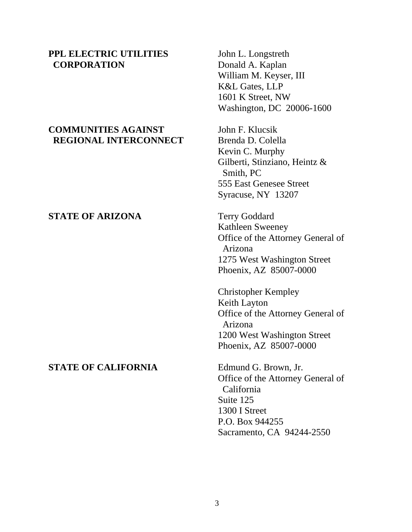### **PPL ELECTRIC UTILITIES** John L. Longstreth **CORPORATION** Donald A. Kaplan

# **COMMUNITIES AGAINST** John F. Klucsik **REGIONAL INTERCONNECT** Brenda D. Colella

## **STATE OF ARIZONA** Terry Goddard

#### **STATE OF CALIFORNIA** Edmund G. Brown, Jr.

 William M. Keyser, III K&L Gates, LLP 1601 K Street, NW Washington, DC 20006-1600

 Kevin C. Murphy Gilberti, Stinziano, Heintz & Smith, PC 555 East Genesee Street Syracuse, NY 13207

 Kathleen Sweeney Office of the Attorney General of Arizona 1275 West Washington Street Phoenix, AZ 85007-0000

 Christopher Kempley Keith Layton Office of the Attorney General of Arizona 1200 West Washington Street Phoenix, AZ 85007-0000

 Office of the Attorney General of California Suite 125 1300 I Street P.O. Box 944255 Sacramento, CA 94244-2550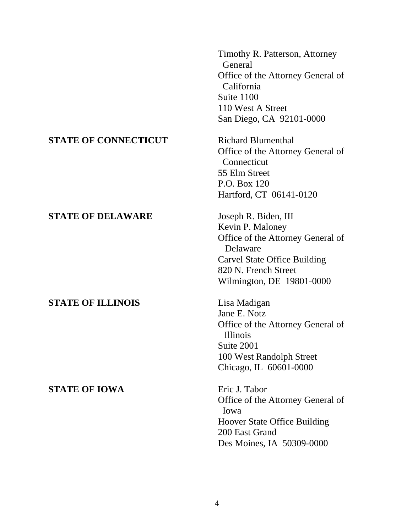Timothy R. Patterson, Attorney General Office of the Attorney General of California Suite 1100 110 West A Street San Diego, CA 92101-0000 **STATE OF CONNECTICUT** Richard Blumenthal Office of the Attorney General of Connecticut 55 Elm Street P.O. Box 120 Hartford, CT 06141-0120 **STATE OF DELAWARE** Joseph R. Biden, III Kevin P. Maloney Office of the Attorney General of Delaware Carvel State Office Building 820 N. French Street Wilmington, DE 19801-0000 **STATE OF ILLINOIS** Lisa Madigan Jane E. Notz Office of the Attorney General of Illinois Suite 2001 100 West Randolph Street Chicago, IL 60601-0000 **STATE OF IOWA** Eric J. Tabor Office of the Attorney General of Iowa Hoover State Office Building 200 East Grand Des Moines, IA 50309-0000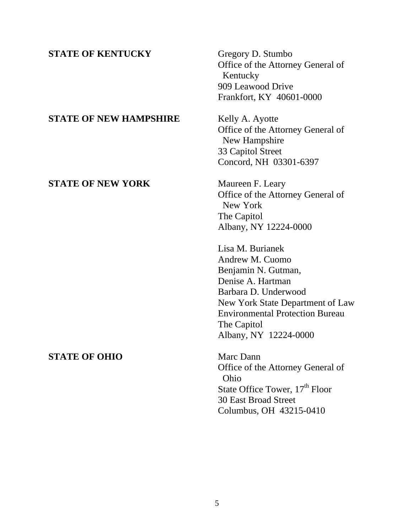# **STATE OF KENTUCKY** Gregory D. Stumbo Office of the Attorney General of Kentucky 909 Leawood Drive Frankfort, KY 40601-0000 **STATE OF NEW HAMPSHIRE** Kelly A. Ayotte Office of the Attorney General of New Hampshire 33 Capitol Street Concord, NH 03301-6397 **STATE OF NEW YORK** Maureen F. Leary Office of the Attorney General of New York The Capitol Albany, NY 12224-0000 Lisa M. Burianek Andrew M. Cuomo Benjamin N. Gutman, Denise A. Hartman Barbara D. Underwood New York State Department of Law Environmental Protection Bureau The Capitol Albany, NY 12224-0000 **STATE OF OHIO** Marc Dann Office of the Attorney General of Ohio State Office Tower,  $17<sup>th</sup>$  Floor 30 East Broad Street

Columbus, OH 43215-0410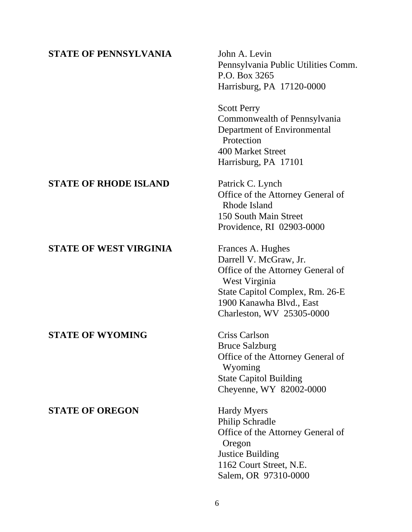# **STATE OF PENNSYLVANIA** John A. Levin Pennsylvania Public Utilities Comm. P.O. Box 3265 Harrisburg, PA 17120-0000 Scott Perry Commonwealth of Pennsylvania Department of Environmental **Protection**  400 Market Street Harrisburg, PA 17101 **STATE OF RHODE ISLAND** Patrick C. Lynch Office of the Attorney General of Rhode Island 150 South Main Street Providence, RI 02903-0000 **STATE OF WEST VIRGINIA** Frances A. Hughes Darrell V. McGraw, Jr. Office of the Attorney General of West Virginia State Capitol Complex, Rm. 26-E 1900 Kanawha Blvd., East Charleston, WV 25305-0000 **STATE OF WYOMING** Criss Carlson Bruce Salzburg Office of the Attorney General of Wyoming State Capitol Building Cheyenne, WY 82002-0000 **STATE OF OREGON** Hardy Myers Philip Schradle Office of the Attorney General of Oregon Justice Building 1162 Court Street, N.E. Salem, OR 97310-0000